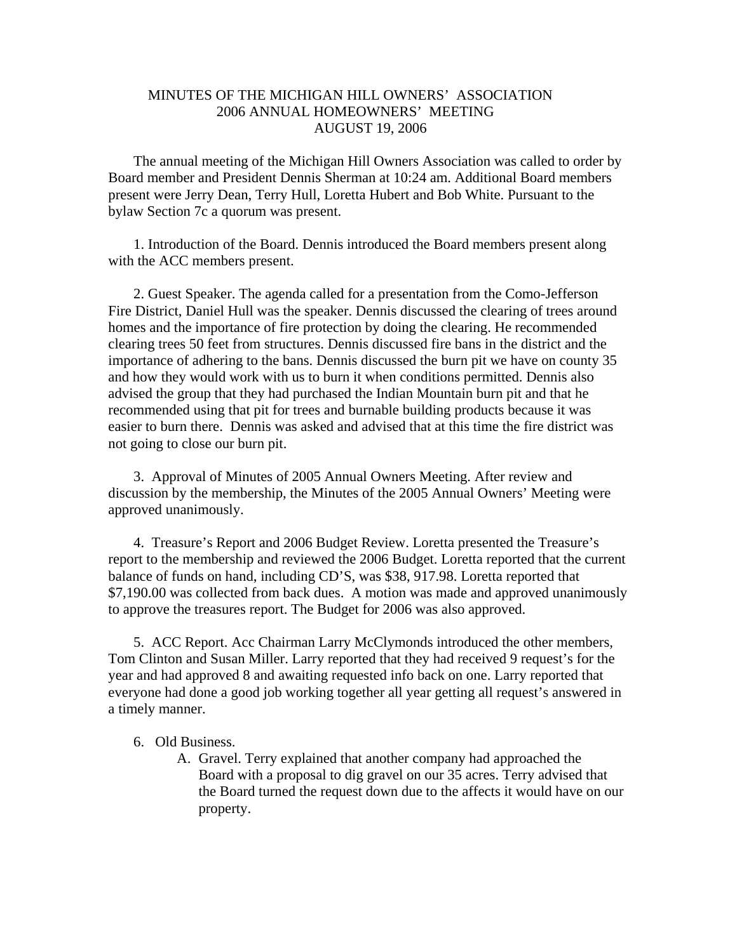## MINUTES OF THE MICHIGAN HILL OWNERS' ASSOCIATION 2006 ANNUAL HOMEOWNERS' MEETING AUGUST 19, 2006

 The annual meeting of the Michigan Hill Owners Association was called to order by Board member and President Dennis Sherman at 10:24 am. Additional Board members present were Jerry Dean, Terry Hull, Loretta Hubert and Bob White. Pursuant to the bylaw Section 7c a quorum was present.

 1. Introduction of the Board. Dennis introduced the Board members present along with the ACC members present.

 2. Guest Speaker. The agenda called for a presentation from the Como-Jefferson Fire District, Daniel Hull was the speaker. Dennis discussed the clearing of trees around homes and the importance of fire protection by doing the clearing. He recommended clearing trees 50 feet from structures. Dennis discussed fire bans in the district and the importance of adhering to the bans. Dennis discussed the burn pit we have on county 35 and how they would work with us to burn it when conditions permitted. Dennis also advised the group that they had purchased the Indian Mountain burn pit and that he recommended using that pit for trees and burnable building products because it was easier to burn there. Dennis was asked and advised that at this time the fire district was not going to close our burn pit.

 3. Approval of Minutes of 2005 Annual Owners Meeting. After review and discussion by the membership, the Minutes of the 2005 Annual Owners' Meeting were approved unanimously.

4. Treasure's Report and 2006 Budget Review. Loretta presented the Treasure's report to the membership and reviewed the 2006 Budget. Loretta reported that the current balance of funds on hand, including CD'S, was \$38, 917.98. Loretta reported that \$7,190.00 was collected from back dues. A motion was made and approved unanimously to approve the treasures report. The Budget for 2006 was also approved.

5. ACC Report. Acc Chairman Larry McClymonds introduced the other members, Tom Clinton and Susan Miller. Larry reported that they had received 9 request's for the year and had approved 8 and awaiting requested info back on one. Larry reported that everyone had done a good job working together all year getting all request's answered in a timely manner.

## 6. Old Business.

A. Gravel. Terry explained that another company had approached the Board with a proposal to dig gravel on our 35 acres. Terry advised that the Board turned the request down due to the affects it would have on our property.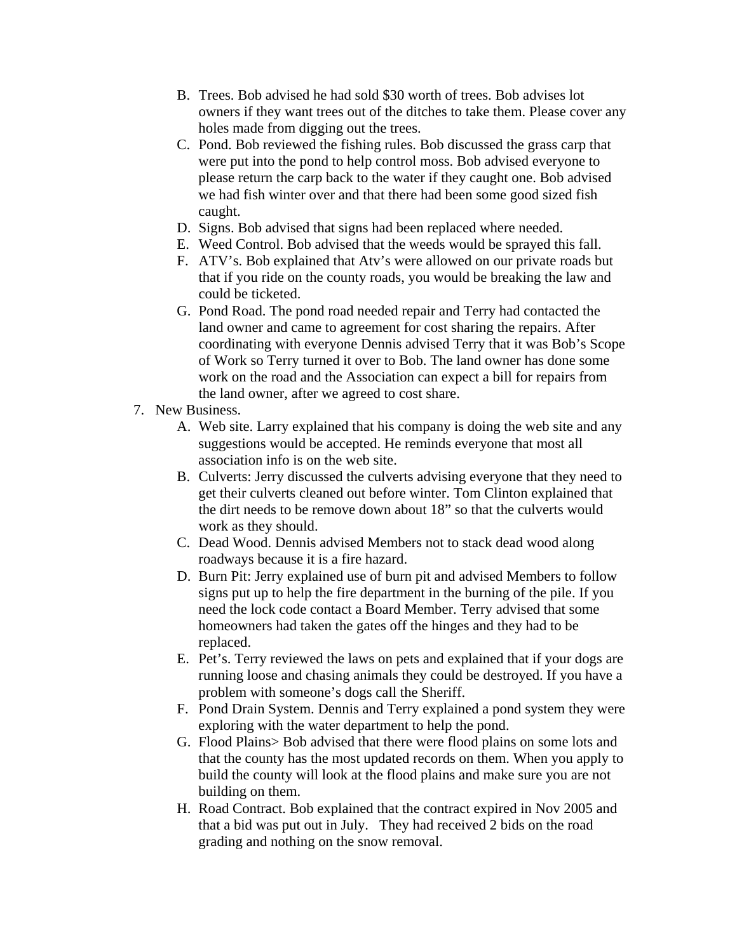- B. Trees. Bob advised he had sold \$30 worth of trees. Bob advises lot owners if they want trees out of the ditches to take them. Please cover any holes made from digging out the trees.
- C. Pond. Bob reviewed the fishing rules. Bob discussed the grass carp that were put into the pond to help control moss. Bob advised everyone to please return the carp back to the water if they caught one. Bob advised we had fish winter over and that there had been some good sized fish caught.
- D. Signs. Bob advised that signs had been replaced where needed.
- E. Weed Control. Bob advised that the weeds would be sprayed this fall.
- F. ATV's. Bob explained that Atv's were allowed on our private roads but that if you ride on the county roads, you would be breaking the law and could be ticketed.
- G. Pond Road. The pond road needed repair and Terry had contacted the land owner and came to agreement for cost sharing the repairs. After coordinating with everyone Dennis advised Terry that it was Bob's Scope of Work so Terry turned it over to Bob. The land owner has done some work on the road and the Association can expect a bill for repairs from the land owner, after we agreed to cost share.
- 7. New Business.
	- A. Web site. Larry explained that his company is doing the web site and any suggestions would be accepted. He reminds everyone that most all association info is on the web site.
	- B. Culverts: Jerry discussed the culverts advising everyone that they need to get their culverts cleaned out before winter. Tom Clinton explained that the dirt needs to be remove down about 18" so that the culverts would work as they should.
	- C. Dead Wood. Dennis advised Members not to stack dead wood along roadways because it is a fire hazard.
	- D. Burn Pit: Jerry explained use of burn pit and advised Members to follow signs put up to help the fire department in the burning of the pile. If you need the lock code contact a Board Member. Terry advised that some homeowners had taken the gates off the hinges and they had to be replaced.
	- E. Pet's. Terry reviewed the laws on pets and explained that if your dogs are running loose and chasing animals they could be destroyed. If you have a problem with someone's dogs call the Sheriff.
	- F. Pond Drain System. Dennis and Terry explained a pond system they were exploring with the water department to help the pond.
	- G. Flood Plains> Bob advised that there were flood plains on some lots and that the county has the most updated records on them. When you apply to build the county will look at the flood plains and make sure you are not building on them.
	- H. Road Contract. Bob explained that the contract expired in Nov 2005 and that a bid was put out in July. They had received 2 bids on the road grading and nothing on the snow removal.